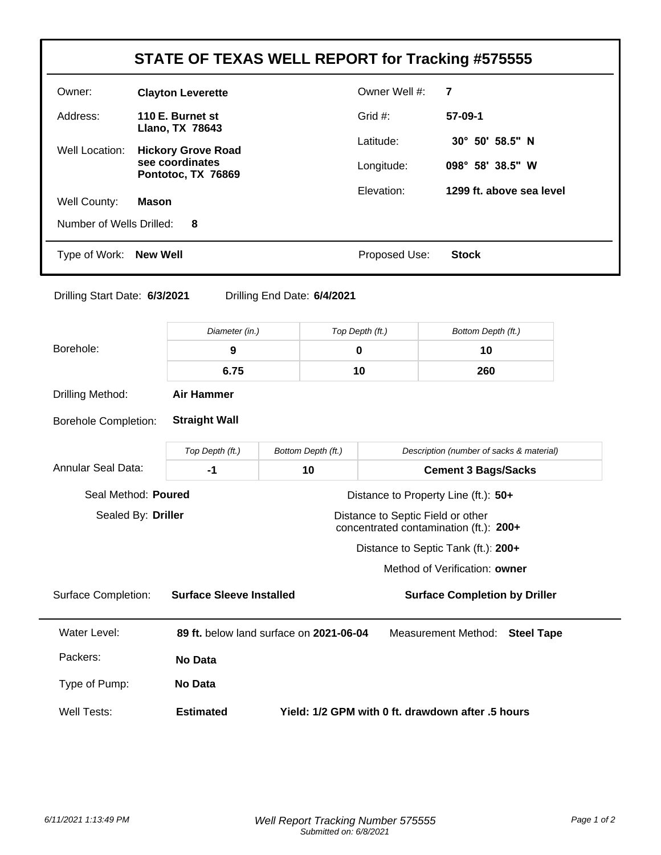| STATE OF TEXAS WELL REPORT for Tracking #575555                                                   |                                                                       |                                                                                     |                             |                               |                                          |  |  |  |
|---------------------------------------------------------------------------------------------------|-----------------------------------------------------------------------|-------------------------------------------------------------------------------------|-----------------------------|-------------------------------|------------------------------------------|--|--|--|
| Owner:                                                                                            | <b>Clayton Leverette</b>                                              |                                                                                     |                             | Owner Well #:                 | $\overline{7}$                           |  |  |  |
| Address:                                                                                          | 110 E. Burnet st                                                      |                                                                                     | Grid #:                     | 57-09-1                       |                                          |  |  |  |
| Well Location:                                                                                    | Llano, TX 78643<br><b>Hickory Grove Road</b>                          |                                                                                     |                             | Latitude:                     | 30° 50' 58.5" N                          |  |  |  |
|                                                                                                   | see coordinates<br>Pontotoc, TX 76869                                 |                                                                                     |                             | Longitude:                    | 098° 58' 38.5" W                         |  |  |  |
| Well County:                                                                                      | Mason                                                                 |                                                                                     | Elevation:                  | 1299 ft. above sea level      |                                          |  |  |  |
| Number of Wells Drilled:                                                                          | 8                                                                     |                                                                                     |                             |                               |                                          |  |  |  |
| Type of Work: New Well                                                                            |                                                                       |                                                                                     |                             | Proposed Use:<br><b>Stock</b> |                                          |  |  |  |
| Drilling Start Date: 6/3/2021                                                                     |                                                                       |                                                                                     | Drilling End Date: 6/4/2021 |                               |                                          |  |  |  |
|                                                                                                   |                                                                       | Diameter (in.)                                                                      |                             | Top Depth (ft.)               | Bottom Depth (ft.)                       |  |  |  |
| Borehole:                                                                                         | $\boldsymbol{9}$                                                      |                                                                                     |                             |                               | 10                                       |  |  |  |
|                                                                                                   | 6.75                                                                  |                                                                                     |                             | 10                            | 260                                      |  |  |  |
| Drilling Method:                                                                                  | <b>Air Hammer</b>                                                     |                                                                                     |                             |                               |                                          |  |  |  |
| <b>Straight Wall</b><br><b>Borehole Completion:</b>                                               |                                                                       |                                                                                     |                             |                               |                                          |  |  |  |
|                                                                                                   | Top Depth (ft.)                                                       |                                                                                     | Bottom Depth (ft.)          |                               | Description (number of sacks & material) |  |  |  |
| <b>Annular Seal Data:</b>                                                                         | $-1$                                                                  |                                                                                     | 10                          |                               | <b>Cement 3 Bags/Sacks</b>               |  |  |  |
| Seal Method: Poured<br>Distance to Property Line (ft.): 50+                                       |                                                                       |                                                                                     |                             |                               |                                          |  |  |  |
| Sealed By: Driller<br>Distance to Septic Field or other<br>concentrated contamination (ft.): 200+ |                                                                       |                                                                                     |                             |                               |                                          |  |  |  |
|                                                                                                   | Distance to Septic Tank (ft.): 200+                                   |                                                                                     |                             |                               |                                          |  |  |  |
|                                                                                                   |                                                                       |                                                                                     |                             |                               | Method of Verification: owner            |  |  |  |
| <b>Surface Completion:</b>                                                                        |                                                                       | <b>Surface Sleeve Installed</b>                                                     |                             |                               | <b>Surface Completion by Driller</b>     |  |  |  |
| Water Level:                                                                                      |                                                                       | 89 ft. below land surface on 2021-06-04<br>Measurement Method:<br><b>Steel Tape</b> |                             |                               |                                          |  |  |  |
| Packers:                                                                                          | No Data                                                               |                                                                                     |                             |                               |                                          |  |  |  |
| Type of Pump:                                                                                     | No Data                                                               |                                                                                     |                             |                               |                                          |  |  |  |
| <b>Well Tests:</b>                                                                                | <b>Estimated</b><br>Yield: 1/2 GPM with 0 ft. drawdown after .5 hours |                                                                                     |                             |                               |                                          |  |  |  |